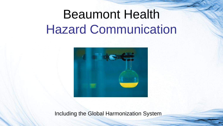# Beaumont Health Hazard Communication



Including the Global Harmonization System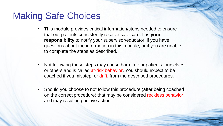### Making Safe Choices

- This module provides critical information/steps needed to ensure that our patients consistently receive safe care. It is **your responsibility** to notify your supervisor/educator if you have questions about the information in this module, or if you are unable to complete the steps as described.
- Not following these steps may cause harm to our patients, ourselves or others and is called at-risk behavior. You should expect to be coached if you misstep, or drift, from the described procedures.
- Should you choose to not follow this procedure (after being coached on the correct procedure) that may be considered reckless behavior and may result in punitive action.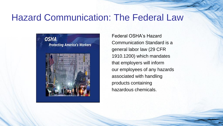### Hazard Communication: The Federal Law



Federal OSHA's Hazard Communication Standard is a general labor law (29 CFR 1910.1200) which mandates that employers will inform our employees of any hazards associated with handling products containing hazardous chemicals.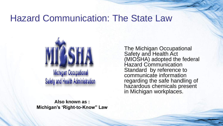### Hazard Communication: The State Law



**Also known as : Michigan's 'Right-to-Know" Law**

The Michigan Occupational Safety and Health Act (MIOSHA) adopted the federal Hazard Communication Standard by reference to communicate information regarding the safe handling of hazardous chemicals present in Michigan workplaces.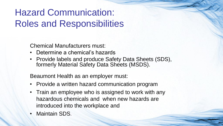## Hazard Communication: Roles and Responsibilities

Chemical Manufacturers must:

- Determine a chemical's hazards
- Provide labels and produce Safety Data Sheets (SDS), formerly Material Safety Data Sheets (MSDS).

Beaumont Health as an employer must:

- Provide a written hazard communication program
- Train an employee who is assigned to work with any hazardous chemicals and when new hazards are introduced into the workplace and
- Maintain SDS.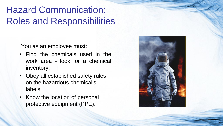## Hazard Communication: Roles and Responsibilities

You as an employee must:

- Find the chemicals used in the work area - look for a chemical inventory.
- Obey all established safety rules on the hazardous chemical's labels.
- Know the location of personal protective equipment (PPE).

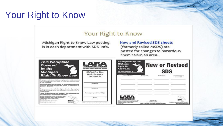## Your Right to Know

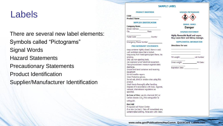### Labels

There are several new label elements: Symbols called "Pictograms" Signal Words Hazard Statements Precautionary Statements Product Identification Supplier/Manufacturer Identification

#### **SAMPLE LABEL**

#### **PRODUCT IDENTIFIER**

| CODE                |  |
|---------------------|--|
| <b>Product Name</b> |  |

#### **SUPPLIER IDENTIFICATION**

| <b>Company Name</b>   |       |  |
|-----------------------|-------|--|
| <b>Street Address</b> |       |  |
| City                  | State |  |

Postal Code Country

Emergency Phone Number

#### **PRECAUTIONARY STATEMENTS**

Keep container tightly closed. Store in cool, well ventilated place that is locked. Keep away from heat/sparks/open flame. No smoking. Only use non-sparking tools. Use explosion-proof electrical equipment. Take precautionary measure against static discharge. Ground and bond container and receiving equipment. Do not breathe vapors. Wear Protective gloves. Do not eat, drink or smoke when using this product. Wash hands thoroughly after handling. Dispoae of in accordance with local, regional, national, international regulations as specified.

In Case of Fire: use dry chemical (BC) or Carbon dioxide (CO<sub>2</sub>) fire extinguisher to extinguish.

#### **First Aid**

If exposed call Poison Center. If on skin (on hair): Take off immediately any contaminated clothing. Rinse skin with water.

#### **HAZARD PICTOGRAMS**



#### SIGNAL WORD **Danger**

#### **HAZARD STATEMENT**

Highly flammable liquid and vapor. May cause liver and kidney damage.

#### **SUPPLEMENTAL INFORMATION**

|  |  | Directions for use |
|--|--|--------------------|
|  |  |                    |
|  |  |                    |

| Fill weight:  | <b>Lot Number</b> |
|---------------|-------------------|
| Gross weight: | Fill Date:        |

**Expiration Date:** 

**www.osha.gov/Publications/HazComm\_QuickCard\_Labels.htm**l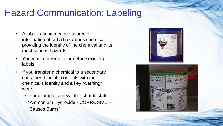### Hazard Communication: Labeling

- A label is an immediate source of information about a hazardous chemical, providing the identity of the chemical and its most serious hazards.
- You must not remove or deface existing labels.
- If you transfer a chemical to a secondary container, label its contents with the chemical's identity and a key "warning" word.
	- For example, a new label should state: "Ammonium Hydroxide - CORROSIVE – Causes Burns"



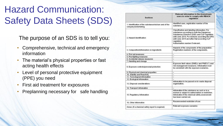## Hazard Communication: Safety Data Sheets (SDS)

The purpose of an SDS is to tell you:

- Comprehensive, technical and emergency information
- The material's physical properties or fast acting health effects
- Level of personal protective equipment (PPE) you need
- First aid treatment for exposures
- Preplanning necessary for safe handling

| <b>Sections</b>                                                              | <b>Relevant information to the downstream</b><br>users in order to comply with REACH<br>regulation                                                                                                                                                                                                  |  |  |  |
|------------------------------------------------------------------------------|-----------------------------------------------------------------------------------------------------------------------------------------------------------------------------------------------------------------------------------------------------------------------------------------------------|--|--|--|
| 1. Identification of the substance/mixture and of the<br>company/undertaking | Identified uses, registration number of the<br>substance.                                                                                                                                                                                                                                           |  |  |  |
| 2. Hazard identification                                                     | Classification and labelling information: For<br>substances according to both the Dangerous<br>Substances Directive (DSD) and CLP regulation<br>until June 2015. For mixtures according the DPD<br>until June 2015 and after that according CLP<br>regulation.<br>Authorisation number if relevant. |  |  |  |
| 3. Composition/information on ingredients                                    | Hazards of the components of the preparation.<br>Registration numbers of the components.                                                                                                                                                                                                            |  |  |  |
| 4. First aid measures                                                        | ×,                                                                                                                                                                                                                                                                                                  |  |  |  |
| 5. Fire-fighting measures                                                    | u)                                                                                                                                                                                                                                                                                                  |  |  |  |
| 6. Accidental release measures                                               | g.                                                                                                                                                                                                                                                                                                  |  |  |  |
| 7. Handling and storage                                                      | s.                                                                                                                                                                                                                                                                                                  |  |  |  |
| 8. Exposure controls/personal protection                                     | Exposure limit values (DNELs and PNECs <sup>1</sup> ) and<br>risk management measures. Information must<br>be consistent with the exposure scenarios.                                                                                                                                               |  |  |  |
| 9. Physical and chemical properties                                          | ÷.                                                                                                                                                                                                                                                                                                  |  |  |  |
| 10. Stability and Reactivity                                                 | ÷.                                                                                                                                                                                                                                                                                                  |  |  |  |
| 11. Toxicological information                                                | ٠                                                                                                                                                                                                                                                                                                   |  |  |  |
| 12. Ecological information                                                   | ¥                                                                                                                                                                                                                                                                                                   |  |  |  |
| 13. Disposal considerations                                                  | Information to be passed on to waste disposal<br>organisation.                                                                                                                                                                                                                                      |  |  |  |
| 14. Transport information                                                    | ٠                                                                                                                                                                                                                                                                                                   |  |  |  |
| 15. Regulatory information                                                   | Information if the substance as such or in a<br>mixture is subject to authorisation or restriction.<br>Information if the chemical safety assessment<br>has been carried out                                                                                                                        |  |  |  |
| 16. Other information                                                        | Recommended restriction of use                                                                                                                                                                                                                                                                      |  |  |  |
| Annex (if a chemical safety report is required)                              | Relevant exposure scenarios                                                                                                                                                                                                                                                                         |  |  |  |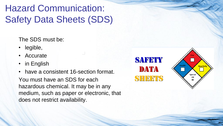## Hazard Communication: Safety Data Sheets (SDS)

The SDS must be:

- legible,
- **Accurate**
- in English

• have a consistent 16-section format. You must have an SDS for each hazardous chemical. It may be in any medium, such as paper or electronic, that does not restrict availability.

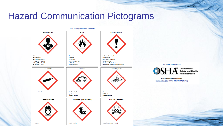### Hazard Communication Pictograms



For more information:



**U.S. Department of Labor** www.osha.gov (800) 321-OSHA (6742)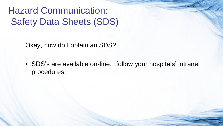Hazard Communication: Safety Data Sheets (SDS)

Okay, how do I obtain an SDS?

• SDS's are available on-line…follow your hospitals' intranet procedures.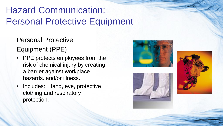## Hazard Communication: Personal Protective Equipment

Personal Protective

Equipment (PPE)

- PPE protects employees from the risk of chemical injury by creating a barrier against workplace hazards. and/or illness.
- Includes: Hand, eye, protective clothing and respiratory protection.





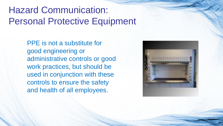### Hazard Communication: Personal Protective Equipment

PPE is not a substitute for good engineering or administrative controls or good work practices, but should be used in conjunction with these controls to ensure the safety and health of all employees.

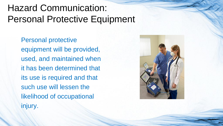## Hazard Communication: Personal Protective Equipment

Personal protective equipment will be provided, used, and maintained when it has been determined that its use is required and that such use will lessen the likelihood of occupational injury.

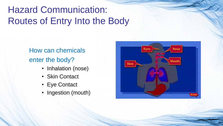## Hazard Communication: Routes of Entry Into the Body

### How can chemicals enter the body?

- Inhalation (nose)
- Skin Contact
- Eye Contact
- Ingestion (mouth)

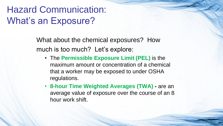### Hazard Communication: What's an Exposure?

What about the chemical exposures? How much is too much? Let's explore:

- The **Permissible Exposure Limit (PEL)** is the maximum amount or concentration of a chemical that a worker may be exposed to under OSHA regulations.
- **8-hour Time Weighted Averages (TWA) -** are an average value of exposure over the course of an 8 hour work shift.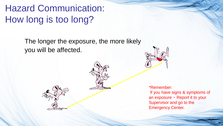Hazard Communication: How long is too long?

> The longer the exposure, the more likely you will be affected.



\*Remember: If you have signs & symptoms of an exposure ~ Report it to your Supervisor and go to the Emergency Center.